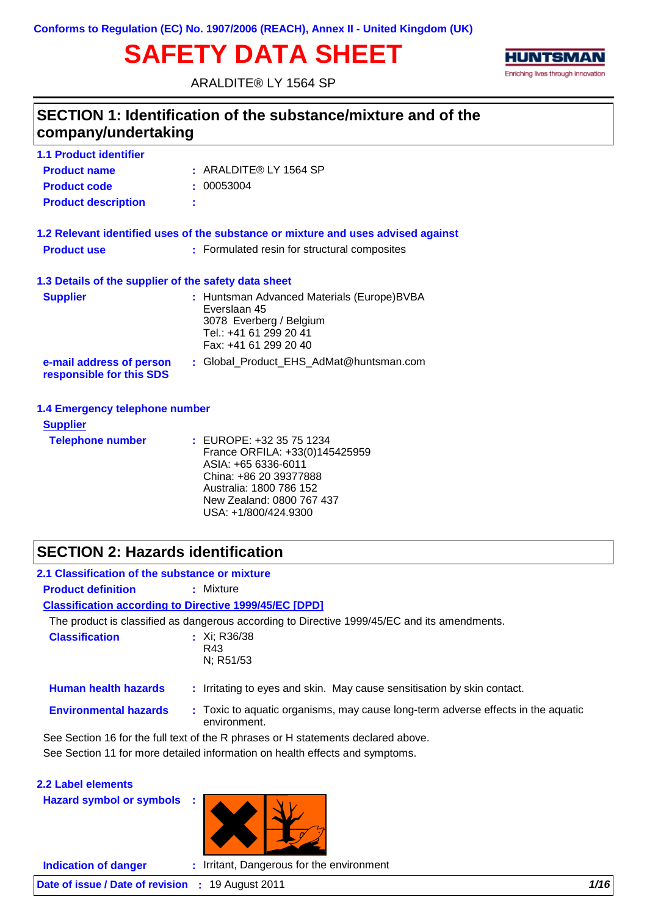# **SAFETY DATA SHEET**

ARALDITE® LY 1564 SP



## ARALDITE® LY 1564 SP **: Product name 1.1 Product identifier Product description : SECTION 1: Identification of the substance/mixture and of the company/undertaking Product code :** 00053004

|                    | 1.2 Relevant identified uses of the substance or mixture and uses advised against |
|--------------------|-----------------------------------------------------------------------------------|
| <b>Product use</b> | : Formulated resin for structural composites                                      |
|                    | 1.3 Details of the supplier of the safety data sheet                              |

| <b>Supplier</b>                                      | : Huntsman Advanced Materials (Europe)BVBA<br>Everslaan 45<br>3078 Everberg / Belgium<br>Tel.: +41 61 299 20 41<br>Fax: +41 61 299 20 40 |
|------------------------------------------------------|------------------------------------------------------------------------------------------------------------------------------------------|
| e-mail address of person<br>responsible for this SDS | : Global Product EHS AdMat@huntsman.com                                                                                                  |

#### **1.4 Emergency telephone number**

| <b>Supplier</b>         |                                                                                                                                                                                             |
|-------------------------|---------------------------------------------------------------------------------------------------------------------------------------------------------------------------------------------|
| <b>Telephone number</b> | : EUROPE: +32 35 75 1234<br>France ORFILA: +33(0)145425959<br>ASIA: +65 6336-6011<br>China: +86 20 39377888<br>Australia: 1800 786 152<br>New Zealand: 0800 767 437<br>USA: +1/800/424.9300 |

## **SECTION 2: Hazards identification**

| 2.1 Classification of the substance or mixture |                                                                                                  |
|------------------------------------------------|--------------------------------------------------------------------------------------------------|
| <b>Product definition</b>                      | : Mixture                                                                                        |
|                                                | <b>Classification according to Directive 1999/45/EC [DPD]</b>                                    |
|                                                | The product is classified as dangerous according to Directive 1999/45/EC and its amendments.     |
| <b>Classification</b>                          | : $Xi$ ; R36/38<br>R43<br>N; R51/53                                                              |
| <b>Human health hazards</b>                    | : Irritating to eyes and skin. May cause sensitisation by skin contact.                          |
| <b>Environmental hazards</b>                   | : Toxic to aquatic organisms, may cause long-term adverse effects in the aquatic<br>environment. |
|                                                | See Section 16 for the full text of the R phrases or H statements declared above.                |
|                                                | See Section 11 for more detailed information on health effects and symptoms.                     |
| 2.2 Label elements                             |                                                                                                  |

**Hazard symbol or symbols :**



**Indication of danger :** Irritant, Dangerous for the environment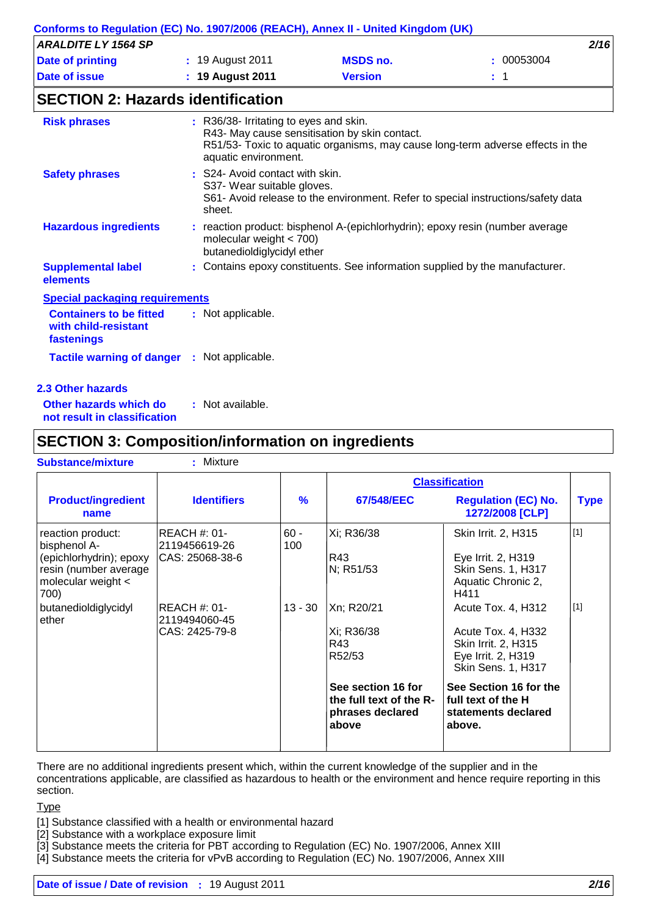|                            | Conforms to Regulation (EC) No. 1907/2006 (REACH), Annex II - United Kingdom (UK) |                 |          |
|----------------------------|-----------------------------------------------------------------------------------|-----------------|----------|
| <b>ARALDITE LY 1564 SP</b> |                                                                                   |                 | 2/16     |
| Date of printing           | : 19 August 2011                                                                  | <b>MSDS no.</b> | 00053004 |
| Date of issue              | $: 19$ August 2011                                                                | <b>Version</b>  |          |
|                            |                                                                                   |                 |          |

## **SECTION 2: Hazards identification**

| <b>Risk phrases</b>                                                  | : R36/38- Irritating to eyes and skin.<br>R43- May cause sensitisation by skin contact.<br>R51/53- Toxic to aquatic organisms, may cause long-term adverse effects in the<br>aquatic environment. |
|----------------------------------------------------------------------|---------------------------------------------------------------------------------------------------------------------------------------------------------------------------------------------------|
| <b>Safety phrases</b>                                                | : S24- Avoid contact with skin.<br>S37- Wear suitable gloves.<br>S61- Avoid release to the environment. Refer to special instructions/safety data<br>sheet.                                       |
| <b>Hazardous ingredients</b>                                         | : reaction product: bisphenol A-(epichlorhydrin); epoxy resin (number average<br>molecular weight $<$ 700)<br>butanedioldiglycidyl ether                                                          |
| <b>Supplemental label</b><br>elements                                | : Contains epoxy constituents. See information supplied by the manufacturer.                                                                                                                      |
| <b>Special packaging requirements</b>                                |                                                                                                                                                                                                   |
| <b>Containers to be fitted</b><br>with child-resistant<br>fastenings | : Not applicable.                                                                                                                                                                                 |

#### **2.3 Other hazards**

| Other hazards which do       | : Not available. |
|------------------------------|------------------|
| not result in classification |                  |

## **SECTION 3: Composition/information on ingredients**

| <b>Substance/mixture</b>                                                                                                | : Mixture                                              |               |                                                                            |                                                                                                                    |             |
|-------------------------------------------------------------------------------------------------------------------------|--------------------------------------------------------|---------------|----------------------------------------------------------------------------|--------------------------------------------------------------------------------------------------------------------|-------------|
|                                                                                                                         |                                                        |               |                                                                            | <b>Classification</b>                                                                                              |             |
| <b>Product/ingredient</b><br>name                                                                                       | <b>Identifiers</b>                                     | $\frac{9}{6}$ | 67/548/EEC                                                                 | <b>Regulation (EC) No.</b><br>1272/2008 [CLP]                                                                      | <b>Type</b> |
| reaction product:<br>bisphenol A-<br>(epichlorhydrin); epoxy<br>resin (number average<br>molecular weight $\lt$<br>700) | REACH #: 01-<br>2119456619-26<br>CAS: 25068-38-6       | $60 -$<br>100 | Xi; R36/38<br>R43<br>N; R51/53                                             | Skin Irrit. 2, H315<br>Eye Irrit. 2, H319<br><b>Skin Sens. 1, H317</b><br>Aquatic Chronic 2,<br>H411               | $[1]$       |
| butanedioldiglycidyl<br>ether                                                                                           | <b>REACH #: 01-</b><br>2119494060-45<br>CAS: 2425-79-8 | $13 - 30$     | Xn; R20/21<br>Xi; R36/38<br>R43<br>R52/53                                  | Acute Tox. 4, H312<br>Acute Tox. 4, H332<br>Skin Irrit. 2, H315<br>Eye Irrit. 2, H319<br><b>Skin Sens. 1, H317</b> | $[1]$       |
|                                                                                                                         |                                                        |               | See section 16 for<br>the full text of the R-<br>phrases declared<br>above | See Section 16 for the<br>full text of the H<br>statements declared<br>above.                                      |             |

There are no additional ingredients present which, within the current knowledge of the supplier and in the concentrations applicable, are classified as hazardous to health or the environment and hence require reporting in this section.

#### **Type**

[1] Substance classified with a health or environmental hazard

[2] Substance with a workplace exposure limit

[3] Substance meets the criteria for PBT according to Regulation (EC) No. 1907/2006, Annex XIII

[4] Substance meets the criteria for vPvB according to Regulation (EC) No. 1907/2006, Annex XIII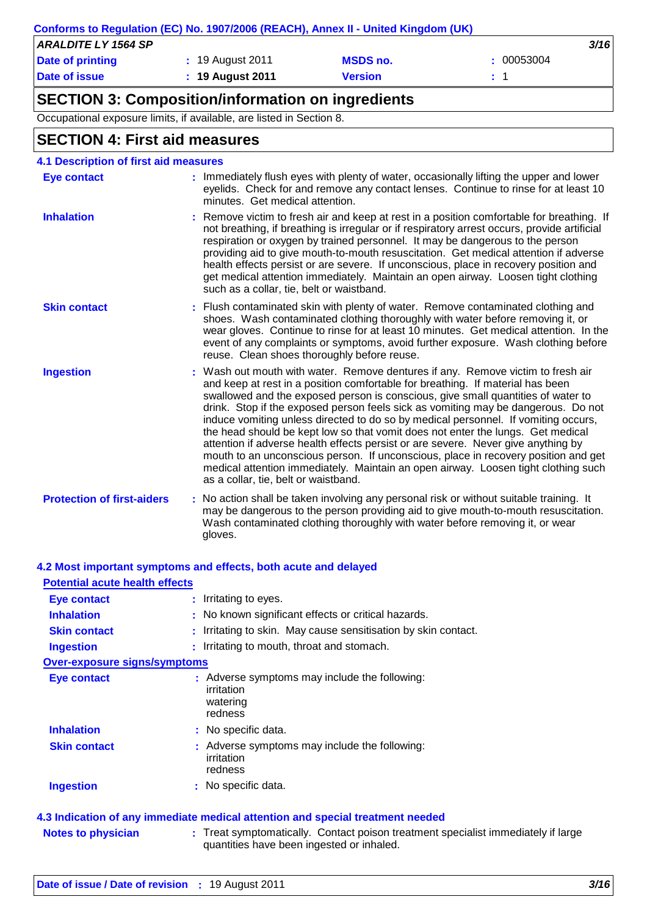|                            | Conforms to Regulation (EC) No. 1907/2006 (REACH), Annex II - United Kingdom (UK) |                 |            |
|----------------------------|-----------------------------------------------------------------------------------|-----------------|------------|
| <b>ARALDITE LY 1564 SP</b> |                                                                                   |                 | 3/16       |
| Date of printing           | : 19 August 2011                                                                  | <b>MSDS no.</b> | : 00053004 |
| Date of issue              | $: 19$ August 2011                                                                | Version         | $\cdot$ 1  |

## **SECTION 3: Composition/information on ingredients**

Occupational exposure limits, if available, are listed in Section 8.

## **SECTION 4: First aid measures**

| <b>4.1 Description of first aid measures</b> |                                                                                                                                                                                                                                                                                                                                                                                                                                                                                                                                                                                                                                                                                                                                                                                                                              |
|----------------------------------------------|------------------------------------------------------------------------------------------------------------------------------------------------------------------------------------------------------------------------------------------------------------------------------------------------------------------------------------------------------------------------------------------------------------------------------------------------------------------------------------------------------------------------------------------------------------------------------------------------------------------------------------------------------------------------------------------------------------------------------------------------------------------------------------------------------------------------------|
| <b>Eye contact</b>                           | : Immediately flush eyes with plenty of water, occasionally lifting the upper and lower<br>eyelids. Check for and remove any contact lenses. Continue to rinse for at least 10<br>minutes. Get medical attention.                                                                                                                                                                                                                                                                                                                                                                                                                                                                                                                                                                                                            |
| <b>Inhalation</b>                            | : Remove victim to fresh air and keep at rest in a position comfortable for breathing. If<br>not breathing, if breathing is irregular or if respiratory arrest occurs, provide artificial<br>respiration or oxygen by trained personnel. It may be dangerous to the person<br>providing aid to give mouth-to-mouth resuscitation. Get medical attention if adverse<br>health effects persist or are severe. If unconscious, place in recovery position and<br>get medical attention immediately. Maintain an open airway. Loosen tight clothing<br>such as a collar, tie, belt or waistband.                                                                                                                                                                                                                                 |
| <b>Skin contact</b>                          | : Flush contaminated skin with plenty of water. Remove contaminated clothing and<br>shoes. Wash contaminated clothing thoroughly with water before removing it, or<br>wear gloves. Continue to rinse for at least 10 minutes. Get medical attention. In the<br>event of any complaints or symptoms, avoid further exposure. Wash clothing before<br>reuse. Clean shoes thoroughly before reuse.                                                                                                                                                                                                                                                                                                                                                                                                                              |
| <b>Ingestion</b>                             | : Wash out mouth with water. Remove dentures if any. Remove victim to fresh air<br>and keep at rest in a position comfortable for breathing. If material has been<br>swallowed and the exposed person is conscious, give small quantities of water to<br>drink. Stop if the exposed person feels sick as vomiting may be dangerous. Do not<br>induce vomiting unless directed to do so by medical personnel. If vomiting occurs,<br>the head should be kept low so that vomit does not enter the lungs. Get medical<br>attention if adverse health effects persist or are severe. Never give anything by<br>mouth to an unconscious person. If unconscious, place in recovery position and get<br>medical attention immediately. Maintain an open airway. Loosen tight clothing such<br>as a collar, tie, belt or waistband. |
| <b>Protection of first-aiders</b>            | : No action shall be taken involving any personal risk or without suitable training. It<br>may be dangerous to the person providing aid to give mouth-to-mouth resuscitation.<br>Wash contaminated clothing thoroughly with water before removing it, or wear<br>gloves.                                                                                                                                                                                                                                                                                                                                                                                                                                                                                                                                                     |

#### **4.2 Most important symptoms and effects, both acute and delayed**

| <b>Eye contact</b>                  | : Irritating to eyes.                                                              |
|-------------------------------------|------------------------------------------------------------------------------------|
| <b>Inhalation</b>                   | : No known significant effects or critical hazards.                                |
| <b>Skin contact</b>                 | : Irritating to skin. May cause sensitisation by skin contact.                     |
| <b>Ingestion</b>                    | : Irritating to mouth, throat and stomach.                                         |
| <b>Over-exposure signs/symptoms</b> |                                                                                    |
| Eye contact                         | : Adverse symptoms may include the following:<br>irritation<br>watering<br>redness |
| <b>Inhalation</b>                   | : No specific data.                                                                |
| <b>Skin contact</b>                 | : Adverse symptoms may include the following:<br>irritation<br>redness             |
| <b>Ingestion</b>                    | : No specific data.                                                                |

**Notes to physician** : Treat symptomatically. Contact poison treatment specialist immediately if large quantities have been ingested or inhaled.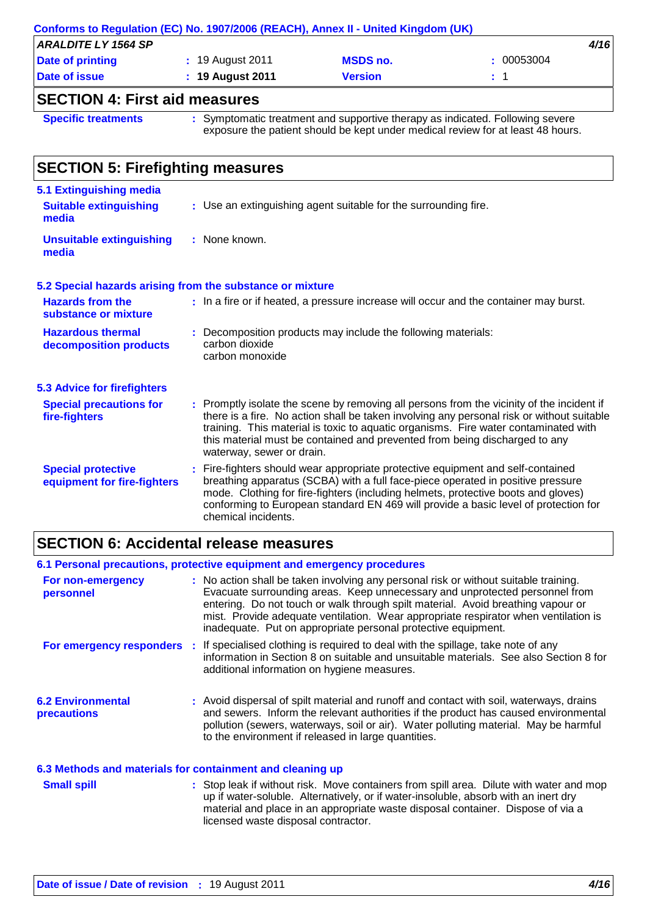|                            | Conforms to Regulation (EC) No. 1907/2006 (REACH), Annex II - United Kingdom (UK) |                 |            |      |
|----------------------------|-----------------------------------------------------------------------------------|-----------------|------------|------|
| <b>ARALDITE LY 1564 SP</b> |                                                                                   |                 |            | 4/16 |
| Date of printing           | : 19 August 2011                                                                  | <b>MSDS no.</b> | : 00053004 |      |
| Date of issue              | $: 19$ August 2011                                                                | <b>Version</b>  | $\pm$ 1    |      |
|                            |                                                                                   |                 |            |      |

### **SECTION 4: First aid measures**

**Specific treatments :** Symptomatic treatment and supportive therapy as indicated. Following severe exposure the patient should be kept under medical review for at least 48 hours.

#### Promptly isolate the scene by removing all persons from the vicinity of the incident if **:** there is a fire. No action shall be taken involving any personal risk or without suitable training. This material is toxic to aquatic organisms. Fire water contaminated with this material must be contained and prevented from being discharged to any waterway, sewer or drain. **Hazardous thermal decomposition products Hazards from the substance or mixture** Decomposition products may include the following materials: **:** carbon dioxide carbon monoxide : In a fire or if heated, a pressure increase will occur and the container may burst. Fire-fighters should wear appropriate protective equipment and self-contained **:** breathing apparatus (SCBA) with a full face-piece operated in positive pressure mode. Clothing for fire-fighters (including helmets, protective boots and gloves) conforming to European standard EN 469 will provide a basic level of protection for chemical incidents. **Special protective equipment for fire-fighters** Use an extinguishing agent suitable for the surrounding fire. **: 5.1 Extinguishing media** : None known. **Suitable extinguishing media Unsuitable extinguishing media SECTION 5: Firefighting measures 5.2 Special hazards arising from the substance or mixture 5.3 Advice for firefighters Special precautions for fire-fighters**

## **SECTION 6: Accidental release measures**

## **6.1 Personal precautions, protective equipment and emergency procedures**

| For non-emergency<br>personnel          | : No action shall be taken involving any personal risk or without suitable training.<br>Evacuate surrounding areas. Keep unnecessary and unprotected personnel from<br>entering. Do not touch or walk through spilt material. Avoid breathing vapour or<br>mist. Provide adequate ventilation. Wear appropriate respirator when ventilation is<br>inadequate. Put on appropriate personal protective equipment. |
|-----------------------------------------|-----------------------------------------------------------------------------------------------------------------------------------------------------------------------------------------------------------------------------------------------------------------------------------------------------------------------------------------------------------------------------------------------------------------|
| For emergency responders                | : If specialised clothing is required to deal with the spillage, take note of any<br>information in Section 8 on suitable and unsuitable materials. See also Section 8 for<br>additional information on hygiene measures.                                                                                                                                                                                       |
| <b>6.2 Environmental</b><br>precautions | : Avoid dispersal of spilt material and runoff and contact with soil, waterways, drains<br>and sewers. Inform the relevant authorities if the product has caused environmental<br>pollution (sewers, waterways, soil or air). Water polluting material. May be harmful<br>to the environment if released in large quantities.                                                                                   |
|                                         | 6.3 Methods and materials for containment and cleaning up                                                                                                                                                                                                                                                                                                                                                       |
| <b>Small spill</b>                      | : Stop leak if without risk. Move containers from spill area. Dilute with water and mop<br>up if water-soluble. Alternatively, or if water-insoluble, absorb with an inert dry<br>material and place in an appropriate waste disposal container. Dispose of via a                                                                                                                                               |

licensed waste disposal contractor.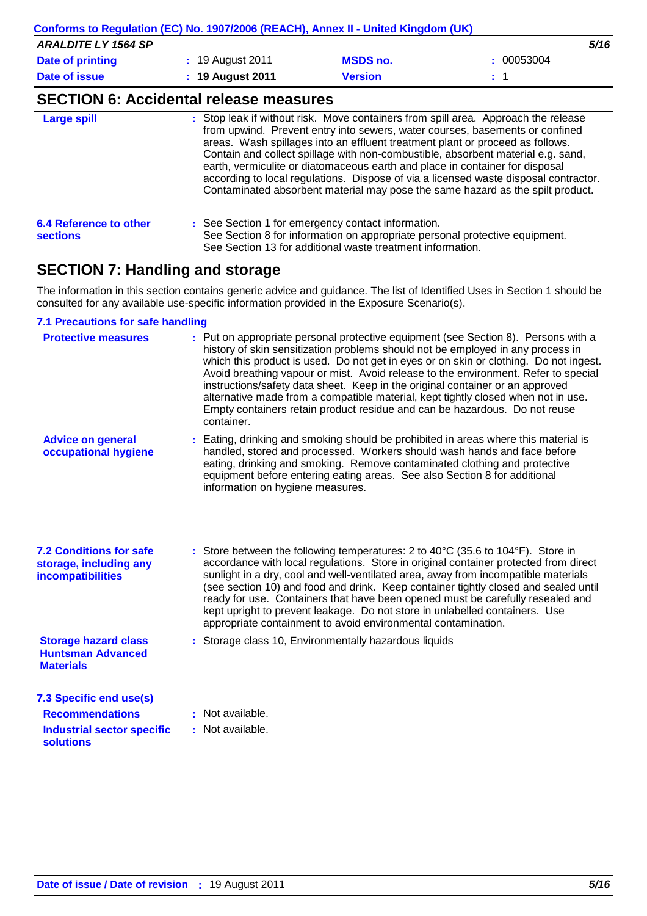| Conforms to Regulation (EC) No. 1907/2006 (REACH), Annex II - United Kingdom (UK) |                       |                 |            |  |  |
|-----------------------------------------------------------------------------------|-----------------------|-----------------|------------|--|--|
| <b>ARALDITE LY 1564 SP</b>                                                        |                       |                 | 5/16       |  |  |
| Date of printing                                                                  | : 19 August 2011      | <b>MSDS no.</b> | : 00053004 |  |  |
| Date of issue                                                                     | $\div$ 19 August 2011 | <b>Version</b>  | $\pm$ 1    |  |  |
|                                                                                   |                       |                 |            |  |  |

### **SECTION 6: Accidental release measures**

| <b>Large spill</b>                        | : Stop leak if without risk. Move containers from spill area. Approach the release<br>from upwind. Prevent entry into sewers, water courses, basements or confined<br>areas. Wash spillages into an effluent treatment plant or proceed as follows.<br>Contain and collect spillage with non-combustible, absorbent material e.g. sand,<br>earth, vermiculite or diatomaceous earth and place in container for disposal<br>according to local regulations. Dispose of via a licensed waste disposal contractor.<br>Contaminated absorbent material may pose the same hazard as the spilt product. |
|-------------------------------------------|---------------------------------------------------------------------------------------------------------------------------------------------------------------------------------------------------------------------------------------------------------------------------------------------------------------------------------------------------------------------------------------------------------------------------------------------------------------------------------------------------------------------------------------------------------------------------------------------------|
| 6.4 Reference to other<br><b>sections</b> | : See Section 1 for emergency contact information.<br>See Section 8 for information on appropriate personal protective equipment.<br>See Section 13 for additional waste treatment information.                                                                                                                                                                                                                                                                                                                                                                                                   |

## **SECTION 7: Handling and storage**

The information in this section contains generic advice and guidance. The list of Identified Uses in Section 1 should be consulted for any available use-specific information provided in the Exposure Scenario(s).

#### **7.1 Precautions for safe handling**

| <b>Protective measures</b>                                                           | : Put on appropriate personal protective equipment (see Section 8). Persons with a<br>history of skin sensitization problems should not be employed in any process in<br>which this product is used. Do not get in eyes or on skin or clothing. Do not ingest.<br>Avoid breathing vapour or mist. Avoid release to the environment. Refer to special<br>instructions/safety data sheet. Keep in the original container or an approved<br>alternative made from a compatible material, kept tightly closed when not in use.<br>Empty containers retain product residue and can be hazardous. Do not reuse<br>container. |
|--------------------------------------------------------------------------------------|------------------------------------------------------------------------------------------------------------------------------------------------------------------------------------------------------------------------------------------------------------------------------------------------------------------------------------------------------------------------------------------------------------------------------------------------------------------------------------------------------------------------------------------------------------------------------------------------------------------------|
| <b>Advice on general</b><br>occupational hygiene                                     | : Eating, drinking and smoking should be prohibited in areas where this material is<br>handled, stored and processed. Workers should wash hands and face before<br>eating, drinking and smoking. Remove contaminated clothing and protective<br>equipment before entering eating areas. See also Section 8 for additional<br>information on hygiene measures.                                                                                                                                                                                                                                                          |
| <b>7.2 Conditions for safe</b><br>storage, including any<br><b>incompatibilities</b> | : Store between the following temperatures: 2 to 40 $^{\circ}$ C (35.6 to 104 $^{\circ}$ F). Store in<br>accordance with local regulations. Store in original container protected from direct<br>sunlight in a dry, cool and well-ventilated area, away from incompatible materials<br>(see section 10) and food and drink. Keep container tightly closed and sealed until<br>ready for use. Containers that have been opened must be carefully resealed and<br>kept upright to prevent leakage. Do not store in unlabelled containers. Use<br>appropriate containment to avoid environmental contamination.           |
| <b>Storage hazard class</b><br><b>Huntsman Advanced</b><br><b>Materials</b>          | : Storage class 10, Environmentally hazardous liquids                                                                                                                                                                                                                                                                                                                                                                                                                                                                                                                                                                  |
| 7.3 Specific end use(s)                                                              |                                                                                                                                                                                                                                                                                                                                                                                                                                                                                                                                                                                                                        |
| <b>Recommendations</b>                                                               | : Not available.                                                                                                                                                                                                                                                                                                                                                                                                                                                                                                                                                                                                       |
| <b>Industrial sector specific</b><br>solutions                                       | : Not available.                                                                                                                                                                                                                                                                                                                                                                                                                                                                                                                                                                                                       |
|                                                                                      |                                                                                                                                                                                                                                                                                                                                                                                                                                                                                                                                                                                                                        |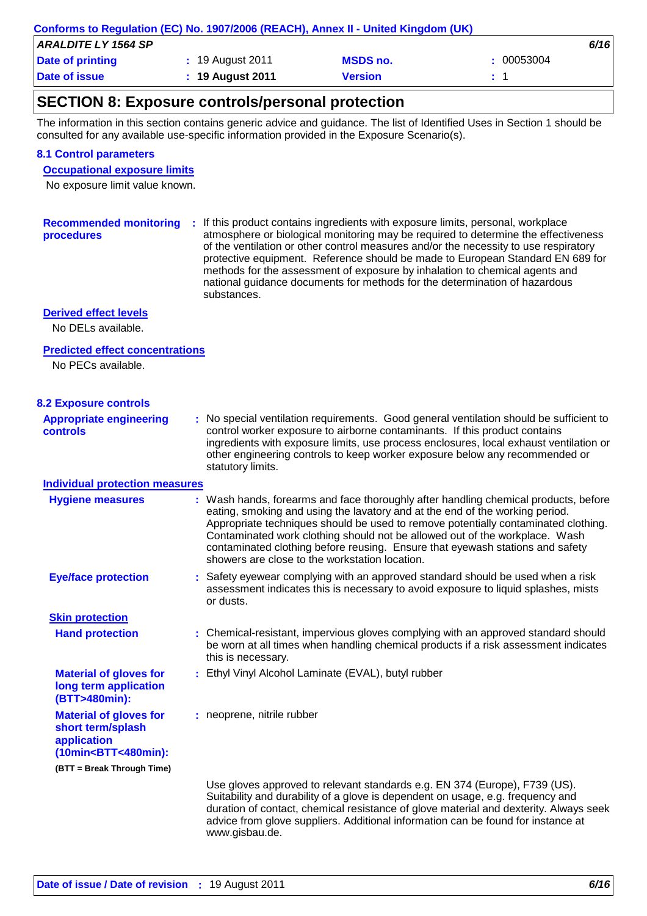| Conforms to Regulation (EC) No. 1907/2006 (REACH), Annex II - United Kingdom (UK) |                       |                 |            |  |  |
|-----------------------------------------------------------------------------------|-----------------------|-----------------|------------|--|--|
| <b>ARALDITE LY 1564 SP</b>                                                        |                       |                 | 6/16       |  |  |
| <b>Date of printing</b>                                                           | : 19 August 2011      | <b>MSDS no.</b> | : 00053004 |  |  |
| <b>Date of issue</b>                                                              | $\div$ 19 August 2011 | <b>Version</b>  |            |  |  |
|                                                                                   |                       |                 |            |  |  |

## **SECTION 8: Exposure controls/personal protection**

The information in this section contains generic advice and guidance. The list of Identified Uses in Section 1 should be consulted for any available use-specific information provided in the Exposure Scenario(s).

#### **8.1 Control parameters**

**Occupational exposure limits**

No exposure limit value known.

Recommended monitoring : If this product contains ingredients with exposure limits, personal, workplace **procedures** atmosphere or biological monitoring may be required to determine the effectiveness of the ventilation or other control measures and/or the necessity to use respiratory protective equipment. Reference should be made to European Standard EN 689 for methods for the assessment of exposure by inhalation to chemical agents and national guidance documents for methods for the determination of hazardous substances.

#### **Derived effect levels**

No DELs available.

#### **Predicted effect concentrations**

No PECs available.

#### **8.2 Exposure controls**

**Appropriate engineering controls**

**:** No special ventilation requirements. Good general ventilation should be sufficient to control worker exposure to airborne contaminants. If this product contains ingredients with exposure limits, use process enclosures, local exhaust ventilation or other engineering controls to keep worker exposure below any recommended or statutory limits.

#### **Individual protection measures**

| <b>Hygiene measures</b>                                                                                                                              | : Wash hands, forearms and face thoroughly after handling chemical products, before<br>eating, smoking and using the lavatory and at the end of the working period.<br>Appropriate techniques should be used to remove potentially contaminated clothing.<br>Contaminated work clothing should not be allowed out of the workplace. Wash<br>contaminated clothing before reusing. Ensure that eyewash stations and safety<br>showers are close to the workstation location. |
|------------------------------------------------------------------------------------------------------------------------------------------------------|-----------------------------------------------------------------------------------------------------------------------------------------------------------------------------------------------------------------------------------------------------------------------------------------------------------------------------------------------------------------------------------------------------------------------------------------------------------------------------|
| <b>Eye/face protection</b>                                                                                                                           | : Safety eyewear complying with an approved standard should be used when a risk<br>assessment indicates this is necessary to avoid exposure to liquid splashes, mists<br>or dusts.                                                                                                                                                                                                                                                                                          |
| <b>Skin protection</b>                                                                                                                               |                                                                                                                                                                                                                                                                                                                                                                                                                                                                             |
| <b>Hand protection</b>                                                                                                                               | : Chemical-resistant, impervious gloves complying with an approved standard should<br>be worn at all times when handling chemical products if a risk assessment indicates<br>this is necessary.                                                                                                                                                                                                                                                                             |
| <b>Material of gloves for</b><br>long term application<br>(BTT>480min):                                                                              | : Ethyl Vinyl Alcohol Laminate (EVAL), butyl rubber                                                                                                                                                                                                                                                                                                                                                                                                                         |
| <b>Material of gloves for</b><br>short term/splash<br>application<br>(10min <btt<480min):< td=""><td>: neoprene, nitrile rubber</td></btt<480min):<> | : neoprene, nitrile rubber                                                                                                                                                                                                                                                                                                                                                                                                                                                  |
| (BTT = Break Through Time)                                                                                                                           |                                                                                                                                                                                                                                                                                                                                                                                                                                                                             |
|                                                                                                                                                      | Use gloves approved to relevant standards e.g. EN 374 (Europe), F739 (US).<br>Suitability and durability of a glove is dependent on usage, e.g. frequency and<br>duration of contact, chemical resistance of glove material and dexterity. Always seek<br>advice from glove suppliers. Additional information can be found for instance at                                                                                                                                  |

www.gisbau.de.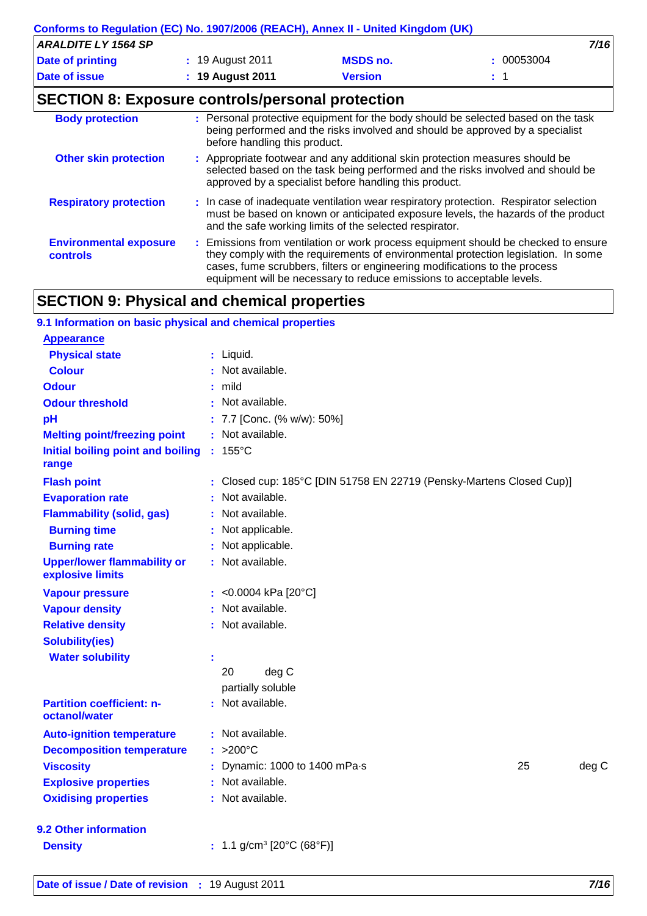|                            | Conforms to Regulation (EC) No. 1907/2006 (REACH), Annex II - United Kingdom (UK) |                 |            |
|----------------------------|-----------------------------------------------------------------------------------|-----------------|------------|
| <b>ARALDITE LY 1564 SP</b> |                                                                                   |                 | 7/16       |
| Date of printing           | : 19 August 2011                                                                  | <b>MSDS no.</b> | : 00053004 |
| Date of issue              | $: 19$ August 2011                                                                | <b>Version</b>  |            |

## **SECTION 8: Exposure controls/personal protection**

| <b>Body protection</b>                           | : Personal protective equipment for the body should be selected based on the task<br>being performed and the risks involved and should be approved by a specialist<br>before handling this product.                                                                                                                             |
|--------------------------------------------------|---------------------------------------------------------------------------------------------------------------------------------------------------------------------------------------------------------------------------------------------------------------------------------------------------------------------------------|
| <b>Other skin protection</b>                     | : Appropriate footwear and any additional skin protection measures should be<br>selected based on the task being performed and the risks involved and should be<br>approved by a specialist before handling this product.                                                                                                       |
| <b>Respiratory protection</b>                    | : In case of inadequate ventilation wear respiratory protection. Respirator selection<br>must be based on known or anticipated exposure levels, the hazards of the product<br>and the safe working limits of the selected respirator.                                                                                           |
| <b>Environmental exposure</b><br><b>controls</b> | : Emissions from ventilation or work process equipment should be checked to ensure<br>they comply with the requirements of environmental protection legislation. In some<br>cases, fume scrubbers, filters or engineering modifications to the process<br>equipment will be necessary to reduce emissions to acceptable levels. |

## **SECTION 9: Physical and chemical properties**

| 9.1 Information on basic physical and chemical properties |                                                                      |  |
|-----------------------------------------------------------|----------------------------------------------------------------------|--|
| <b>Appearance</b>                                         |                                                                      |  |
| <b>Physical state</b>                                     | : Liquid.                                                            |  |
| <b>Colour</b>                                             | : Not available.                                                     |  |
| <b>Odour</b>                                              | : mild                                                               |  |
| <b>Odour threshold</b>                                    | : Not available.                                                     |  |
| pH                                                        | : 7.7 [Conc. (% w/w): 50%]                                           |  |
| <b>Melting point/freezing point</b>                       | : Not available.                                                     |  |
| Initial boiling point and boiling<br>range                | $: 155^{\circ}$ C                                                    |  |
| <b>Flash point</b>                                        | : Closed cup: 185°C [DIN 51758 EN 22719 (Pensky-Martens Closed Cup)] |  |
| <b>Evaporation rate</b>                                   | : Not available.                                                     |  |
| <b>Flammability (solid, gas)</b>                          | : Not available.                                                     |  |
| <b>Burning time</b>                                       | : Not applicable.                                                    |  |
| <b>Burning rate</b>                                       | : Not applicable.                                                    |  |
| <b>Upper/lower flammability or</b><br>explosive limits    | : Not available.                                                     |  |
| <b>Vapour pressure</b>                                    | : < $0.0004$ kPa [20°C]                                              |  |
| <b>Vapour density</b>                                     | : Not available.                                                     |  |
| <b>Relative density</b>                                   | : Not available.                                                     |  |
| <b>Solubility(ies)</b>                                    |                                                                      |  |
| <b>Water solubility</b>                                   |                                                                      |  |
|                                                           | 20<br>deg C                                                          |  |
|                                                           | partially soluble                                                    |  |
| <b>Partition coefficient: n-</b><br>octanol/water         | : Not available.                                                     |  |
| <b>Auto-ignition temperature</b>                          | : Not available.                                                     |  |
| <b>Decomposition temperature</b>                          | $: >200^{\circ}$ C                                                   |  |
| <b>Viscosity</b>                                          | deg C<br>: Dynamic: 1000 to 1400 mPa-s<br>25                         |  |
| <b>Explosive properties</b>                               | : Not available.                                                     |  |
| <b>Oxidising properties</b>                               | : Not available.                                                     |  |
| 9.2 Other information                                     |                                                                      |  |
| <b>Density</b>                                            | : 1.1 g/cm <sup>3</sup> [20°C (68°F)]                                |  |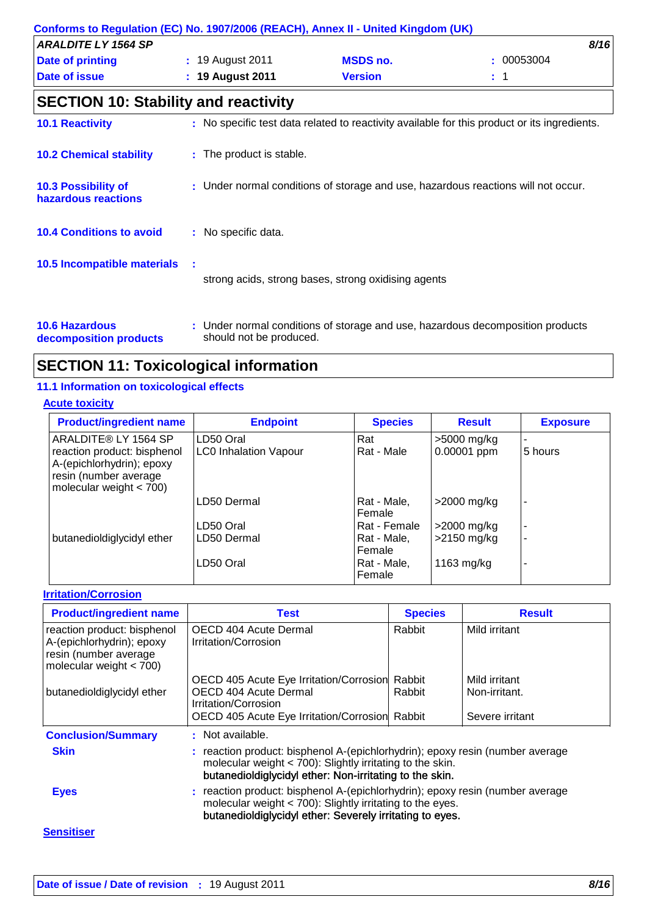| Conforms to Regulation (EC) No. 1907/2006 (REACH), Annex II - United Kingdom (UK) |     |                          |                                                     |                                                                                              |
|-----------------------------------------------------------------------------------|-----|--------------------------|-----------------------------------------------------|----------------------------------------------------------------------------------------------|
| <b>ARALDITE LY 1564 SP</b>                                                        |     |                          |                                                     | 8/16                                                                                         |
| Date of printing                                                                  |     | : 19 August 2011         | <b>MSDS no.</b>                                     | 00053004                                                                                     |
| Date of issue                                                                     |     | : 19 August 2011         | <b>Version</b>                                      | $\pm$ 1                                                                                      |
| <b>SECTION 10: Stability and reactivity</b>                                       |     |                          |                                                     |                                                                                              |
| <b>10.1 Reactivity</b>                                                            |     |                          |                                                     | : No specific test data related to reactivity available for this product or its ingredients. |
| <b>10.2 Chemical stability</b>                                                    |     | : The product is stable. |                                                     |                                                                                              |
| 10.3 Possibility of<br>hazardous reactions                                        |     |                          |                                                     | : Under normal conditions of storage and use, hazardous reactions will not occur.            |
| <b>10.4 Conditions to avoid</b>                                                   |     | : No specific data.      |                                                     |                                                                                              |
| <b>10.5 Incompatible materials</b>                                                | - 1 |                          | strong acids, strong bases, strong oxidising agents |                                                                                              |
| <b>10.6 Hazardous</b>                                                             |     |                          |                                                     | : Under normal conditions of storage and use, hazardous decomposition products               |

**decomposition products** should not be produced.

## **SECTION 11: Toxicological information**

## **11.1 Information on toxicological effects**

## **Acute toxicity**

| <b>Product/ingredient name</b>                                                                                 | <b>Endpoint</b>              | <b>Species</b>        | <b>Result</b> | <b>Exposure</b>          |
|----------------------------------------------------------------------------------------------------------------|------------------------------|-----------------------|---------------|--------------------------|
| ARALDITE® LY 1564 SP                                                                                           | LD50 Oral                    | Rat                   | >5000 mg/kg   |                          |
| reaction product: bisphenol<br>A-(epichlorhydrin); epoxy<br>resin (number average<br>molecular weight $<$ 700) | <b>LC0 Inhalation Vapour</b> | Rat - Male            | 0.00001 ppm   | 5 hours                  |
|                                                                                                                | LD50 Dermal                  | Rat - Male,<br>Female | >2000 mg/kg   | $\overline{\phantom{a}}$ |
|                                                                                                                | LD50 Oral                    | Rat - Female          | $>2000$ mg/kg |                          |
| butanedioldiglycidyl ether                                                                                     | LD50 Dermal                  | Rat - Male,<br>Female | $>2150$ mg/kg |                          |
|                                                                                                                | LD50 Oral                    | Rat - Male,<br>Female | 1163 mg/kg    |                          |

## **Irritation/Corrosion**

| <b>Product/ingredient name</b>                                                                                 | <b>Test</b>                                                                                                                                                                                              | <b>Species</b> | <b>Result</b>   |  |  |
|----------------------------------------------------------------------------------------------------------------|----------------------------------------------------------------------------------------------------------------------------------------------------------------------------------------------------------|----------------|-----------------|--|--|
| reaction product: bisphenol<br>A-(epichlorhydrin); epoxy<br>resin (number average<br>molecular weight $<$ 700) | OECD 404 Acute Dermal<br>Irritation/Corrosion                                                                                                                                                            | Rabbit         | Mild irritant   |  |  |
|                                                                                                                | OECD 405 Acute Eye Irritation/Corrosion                                                                                                                                                                  | Rabbit         | Mild irritant   |  |  |
| butanedioldiglycidyl ether                                                                                     | OECD 404 Acute Dermal<br>Irritation/Corrosion                                                                                                                                                            | Rabbit         | Non-irritant.   |  |  |
|                                                                                                                | OECD 405 Acute Eye Irritation/Corrosion Rabbit                                                                                                                                                           |                | Severe irritant |  |  |
| <b>Conclusion/Summary</b>                                                                                      | : Not available.                                                                                                                                                                                         |                |                 |  |  |
| <b>Skin</b>                                                                                                    | : reaction product: bisphenol A-(epichlorhydrin); epoxy resin (number average<br>molecular weight $<$ 700): Slightly irritating to the skin.<br>butanedioldiglycidyl ether: Non-irritating to the skin.  |                |                 |  |  |
| <b>Eyes</b>                                                                                                    | : reaction product: bisphenol A-(epichlorhydrin); epoxy resin (number average<br>molecular weight $<$ 700): Slightly irritating to the eyes.<br>butanedioldiglycidyl ether: Severely irritating to eyes. |                |                 |  |  |
| <b>Sensitiser</b>                                                                                              |                                                                                                                                                                                                          |                |                 |  |  |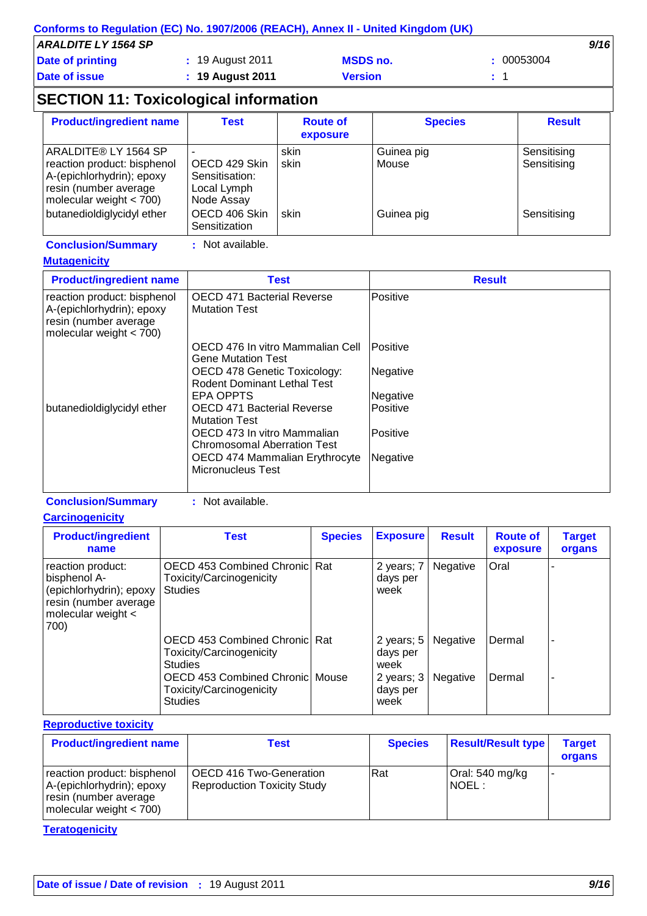|                            | Conforms to Regulation (EC) No. 1907/2006 (REACH), Annex II - United Kingdom (UK) |                 |          |
|----------------------------|-----------------------------------------------------------------------------------|-----------------|----------|
| <b>ARALDITE LY 1564 SP</b> |                                                                                   |                 | 9/16     |
| Date of printing           | : 19 August 2011                                                                  | <b>MSDS no.</b> | 00053004 |
| Date of issue              | $\div$ 19 August 2011                                                             | <b>Version</b>  |          |

## **SECTION 11: Toxicological information**

| <b>Product/ingredient name</b>                                                                                                         | <b>Test</b>                                                  | <b>Route of</b><br>exposure | <b>Species</b>      | <b>Result</b>              |
|----------------------------------------------------------------------------------------------------------------------------------------|--------------------------------------------------------------|-----------------------------|---------------------|----------------------------|
| ARALDITE® LY 1564 SP<br>reaction product: bisphenol<br>A-(epichlorhydrin); epoxy<br>resin (number average<br>molecular weight $<$ 700) | OECD 429 Skin<br>Sensitisation:<br>Local Lymph<br>Node Assay | skin<br>skin                | Guinea pig<br>Mouse | Sensitising<br>Sensitising |
| butanedioldiglycidyl ether                                                                                                             | OECD 406 Skin<br>Sensitization                               | skin                        | Guinea pig          | Sensitising                |

### **Conclusion/Summary :** Not available.

#### **Mutagenicity**

| <b>Product/ingredient name</b>                                                                                 | <b>Test</b>                                                        | <b>Result</b> |
|----------------------------------------------------------------------------------------------------------------|--------------------------------------------------------------------|---------------|
| reaction product: bisphenol<br>A-(epichlorhydrin); epoxy<br>resin (number average<br>molecular weight $<$ 700) | <b>OECD 471 Bacterial Reverse</b><br><b>Mutation Test</b>          | Positive      |
|                                                                                                                | OECD 476 In vitro Mammalian Cell<br>Gene Mutation Test             | IPositive     |
|                                                                                                                | OECD 478 Genetic Toxicology:<br><b>Rodent Dominant Lethal Test</b> | Negative      |
|                                                                                                                | EPA OPPTS                                                          | Negative      |
| butanedioldiglycidyl ether                                                                                     | <b>OECD 471 Bacterial Reverse</b><br><b>Mutation Test</b>          | Positive      |
|                                                                                                                | OECD 473 In vitro Mammalian<br><b>Chromosomal Aberration Test</b>  | Positive      |
|                                                                                                                | OECD 474 Mammalian Erythrocyte<br><b>Micronucleus Test</b>         | Negative      |

**Conclusion/Summary :** Not available.

**Carcinogenicity**

| <b>Product/ingredient</b><br>name                                                                                   | <b>Test</b>                                                                          | <b>Species</b> | <b>Exposure</b>                  | <b>Result</b>   | <b>Route of</b><br>exposure | <b>Target</b><br>organs  |
|---------------------------------------------------------------------------------------------------------------------|--------------------------------------------------------------------------------------|----------------|----------------------------------|-----------------|-----------------------------|--------------------------|
| reaction product:<br>bisphenol A-<br>(epichlorhydrin); epoxy<br>resin (number average<br>molecular weight <<br>700) | <b>OECD 453 Combined Chronic Rat</b><br>Toxicity/Carcinogenicity<br><b>Studies</b>   |                | 2 years; 7<br>days per<br>week   | Negative        | Oral                        |                          |
|                                                                                                                     | <b>OECD 453 Combined Chronicl Rat</b><br>Toxicity/Carcinogenicity<br><b>Studies</b>  |                | 2 years; $5$<br>days per<br>week | Negative        | Dermal                      | $\overline{\phantom{a}}$ |
|                                                                                                                     | <b>OECD 453 Combined Chronic Mouse</b><br>Toxicity/Carcinogenicity<br><b>Studies</b> |                | 2 years; 3<br>days per<br>week   | <b>Negative</b> | Dermal                      |                          |

### **Reproductive toxicity**

| <b>Product/ingredient name</b>                                                                                 | Test                                                                 | <b>Species</b> | <b>Result/Result type</b>  | <b>Target</b><br>organs |
|----------------------------------------------------------------------------------------------------------------|----------------------------------------------------------------------|----------------|----------------------------|-------------------------|
| reaction product: bisphenol<br>A-(epichlorhydrin); epoxy<br>resin (number average<br>molecular weight $<$ 700) | <b>OECD 416 Two-Generation</b><br><b>Reproduction Toxicity Study</b> | <b>IRat</b>    | Oral: 540 mg/kg<br>INOEL : |                         |

### **Teratogenicity**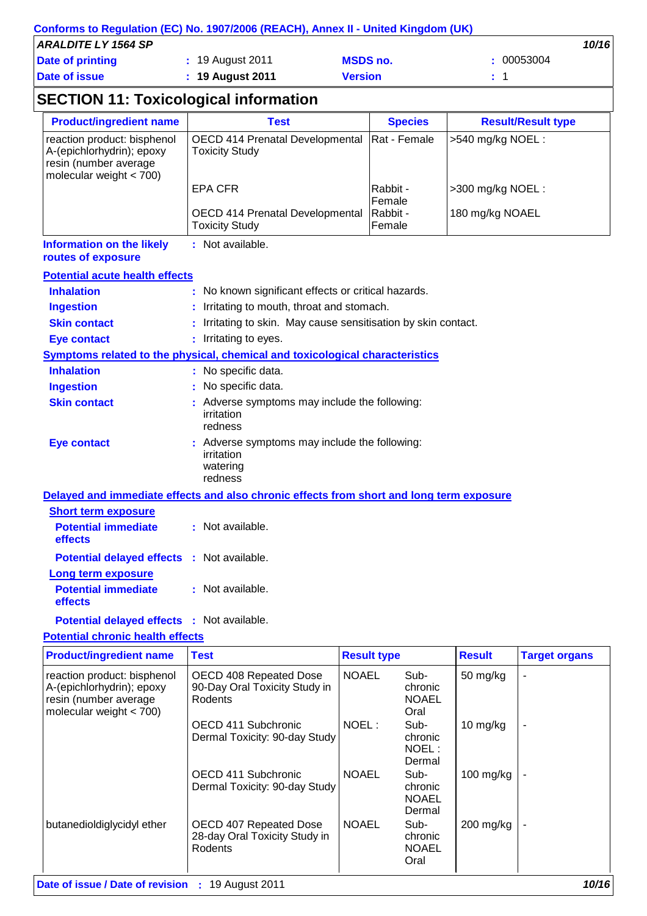|                     | Conforms to Regulation (EC) No. 1907/2006 (REACH), Annex II - United Kingdom (UK) |                 |            |
|---------------------|-----------------------------------------------------------------------------------|-----------------|------------|
| ARALDITE LY 1564 SP |                                                                                   |                 | 10/16      |
| Date of printing    | : 19 August 2011                                                                  | <b>MSDS no.</b> | : 00053004 |
| Date of issue       | $: 19$ August 2011                                                                | <b>Version</b>  | $\pm$ 1    |
|                     |                                                                                   |                 |            |

## **SECTION 11: Toxicological information**

| <b>Product/ingredient name</b>                                                                                 | <b>Test</b>                                                     | <b>Species</b>      | <b>Result/Result type</b> |
|----------------------------------------------------------------------------------------------------------------|-----------------------------------------------------------------|---------------------|---------------------------|
| reaction product: bisphenol<br>A-(epichlorhydrin); epoxy<br>resin (number average<br>molecular weight $<$ 700) | <b>OECD 414 Prenatal Developmental</b><br><b>Toxicity Study</b> | Rat - Female        | $>540$ mg/kg NOEL :       |
|                                                                                                                | EPA CFR                                                         | Rabbit -<br>Female  | >300 mg/kg NOEL:          |
|                                                                                                                | <b>OECD 414 Prenatal Developmental</b><br><b>Toxicity Study</b> | Rabbit -<br>lFemale | 180 mg/kg NOAEL           |
| <b>Information on the likely</b><br>routes of exposure                                                         | : Not available.                                                |                     |                           |
| <b>Potential acute health effects</b>                                                                          |                                                                 |                     |                           |
| <b>Inhalation</b>                                                                                              | : No known significant effects or critical hazards.             |                     |                           |

| <u>IIIIIalativii</u> | . TWO MIDWIT SIGHTHOUTH CHUCUS OF UNITODITION TO THE                         |
|----------------------|------------------------------------------------------------------------------|
| <b>Ingestion</b>     | : Irritating to mouth, throat and stomach.                                   |
| <b>Skin contact</b>  | : Irritating to skin. May cause sensitisation by skin contact.               |
| Eye contact          | : Irritating to eyes.                                                        |
|                      | Symptoms related to the physical, chemical and toxicological characteristics |
|                      |                                                                              |

| <b>Inhalation</b>   | : No specific data.                                                                |
|---------------------|------------------------------------------------------------------------------------|
| <b>Ingestion</b>    | : No specific data.                                                                |
| <b>Skin contact</b> | : Adverse symptoms may include the following:<br>irritation<br>redness             |
| Eye contact         | : Adverse symptoms may include the following:<br>irritation<br>watering<br>redness |

**Delayed and immediate effects and also chronic effects from short and long term exposure Short term exposure Potential immediate :** Not available.

| госяна шшескас<br>effects                         | . πνυιαναπαυπ.   |
|---------------------------------------------------|------------------|
| <b>Potential delayed effects : Not available.</b> |                  |
| Long term exposure                                |                  |
| <b>Potential immediate</b><br>effects             | : Not available. |
|                                                   |                  |

**Potential delayed effects :** Not available.

### **Potential chronic health effects**

| <b>Product/ingredient name</b>                                                                                 | <b>Test</b>                                                        | <b>Result type</b> |                                           | <b>Result</b> | <b>Target organs</b> |
|----------------------------------------------------------------------------------------------------------------|--------------------------------------------------------------------|--------------------|-------------------------------------------|---------------|----------------------|
| reaction product: bisphenol<br>A-(epichlorhydrin); epoxy<br>resin (number average<br>molecular weight $<$ 700) | OECD 408 Repeated Dose<br>90-Day Oral Toxicity Study in<br>Rodents | <b>NOAEL</b>       | Sub-<br>chronic<br><b>NOAEL</b><br>Oral   | 50 mg/kg      | L,                   |
|                                                                                                                | OECD 411 Subchronic<br>Dermal Toxicity: 90-day Study               | NOEL:              | Sub-<br>chronic<br>NOEL:<br>Dermal        | 10 mg/kg      | $\blacksquare$       |
|                                                                                                                | OECD 411 Subchronic<br>Dermal Toxicity: 90-day Study               | <b>NOAEL</b>       | Sub-<br>chronic<br><b>NOAEL</b><br>Dermal | 100 mg/kg     | -                    |
| butanedioldiglycidyl ether                                                                                     | OECD 407 Repeated Dose<br>28-day Oral Toxicity Study in<br>Rodents | <b>NOAEL</b>       | Sub-<br>chronic<br><b>NOAEL</b><br>Oral   | $200$ mg/kg   | ۰                    |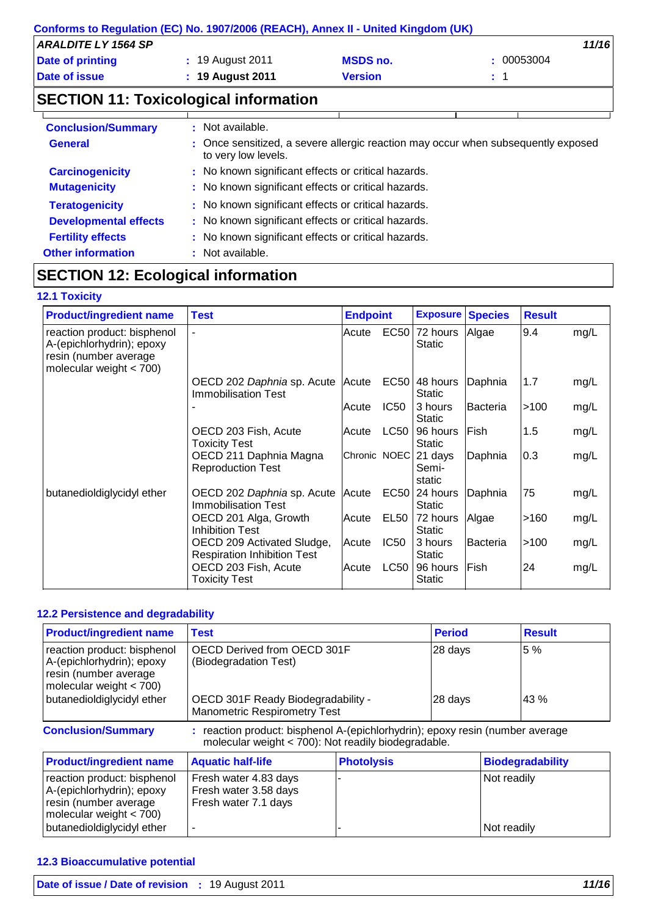| Conforms to Regulation (EC) No. 1907/2006 (REACH), Annex II - United Kingdom (UK) |                                                     |                                                     |                                                                                   |
|-----------------------------------------------------------------------------------|-----------------------------------------------------|-----------------------------------------------------|-----------------------------------------------------------------------------------|
| <b>ARALDITE LY 1564 SP</b>                                                        |                                                     |                                                     | 11/16                                                                             |
| <b>Date of printing</b>                                                           | : 19 August 2011                                    | <b>MSDS no.</b>                                     | : 00053004                                                                        |
| Date of issue                                                                     | : 19 August 2011                                    | <b>Version</b>                                      | $\div$ 1                                                                          |
| <b>SECTION 11: Toxicological information</b>                                      |                                                     |                                                     |                                                                                   |
| <b>Conclusion/Summary</b>                                                         | : Not available.                                    |                                                     |                                                                                   |
| <b>General</b>                                                                    | to very low levels.                                 |                                                     | : Once sensitized, a severe allergic reaction may occur when subsequently exposed |
| <b>Carcinogenicity</b>                                                            | : No known significant effects or critical hazards. |                                                     |                                                                                   |
| <b>Mutagenicity</b>                                                               | : No known significant effects or critical hazards. |                                                     |                                                                                   |
| <b>Teratogenicity</b>                                                             | : No known significant effects or critical hazards. |                                                     |                                                                                   |
| <b>Developmental effects</b>                                                      |                                                     | : No known significant effects or critical hazards. |                                                                                   |
| <b>Fertility effects</b>                                                          |                                                     | : No known significant effects or critical hazards. |                                                                                   |
| <b>Other information</b>                                                          | : Not available.                                    |                                                     |                                                                                   |

## **SECTION 12: Ecological information**

### **12.1 Toxicity**

| <b>Product/ingredient name</b>                                                                                 | <b>Test</b>                                                      | <b>Endpoint</b> |                  | <b>Exposure Species</b>          |                 | <b>Result</b> |      |
|----------------------------------------------------------------------------------------------------------------|------------------------------------------------------------------|-----------------|------------------|----------------------------------|-----------------|---------------|------|
| reaction product: bisphenol<br>A-(epichlorhydrin); epoxy<br>resin (number average<br>molecular weight $<$ 700) |                                                                  | Acute           | EC50             | 72 hours<br><b>Static</b>        | Algae           | 9.4           | mg/L |
|                                                                                                                | OECD 202 Daphnia sp. Acute<br><b>Immobilisation Test</b>         | Acute           |                  | $EC50$ 48 hours<br><b>Static</b> | Daphnia         | 1.7           | mg/L |
|                                                                                                                |                                                                  | Acute           | IC <sub>50</sub> | 3 hours<br><b>Static</b>         | <b>Bacteria</b> | >100          | mg/L |
|                                                                                                                | OECD 203 Fish, Acute<br>Toxicity Test                            | Acute           | <b>LC50</b>      | 96 hours<br><b>Static</b>        | Fish            | 1.5           | mg/L |
|                                                                                                                | OECD 211 Daphnia Magna<br><b>Reproduction Test</b>               | Chronic NOEC    |                  | 21 days<br>Semi-<br>static       | Daphnia         | 0.3           | mg/L |
| butanedioldiglycidyl ether                                                                                     | OECD 202 Daphnia sp. Acute<br><b>Immobilisation Test</b>         | Acute           |                  | $EC50$ 24 hours<br><b>Static</b> | Daphnia         | 75            | mg/L |
|                                                                                                                | OECD 201 Alga, Growth<br><b>Inhibition Test</b>                  | Acute           | EL <sub>50</sub> | $ 72$ hours<br>Static            | Algae           | >160          | mg/L |
|                                                                                                                | OECD 209 Activated Sludge,<br><b>Respiration Inhibition Test</b> | Acute           | IC <sub>50</sub> | 3 hours<br><b>Static</b>         | Bacteria        | >100          | mg/L |
|                                                                                                                | OECD 203 Fish, Acute<br><b>Toxicity Test</b>                     | Acute           | <b>LC50</b>      | 96 hours<br><b>Static</b>        | Fish            | 24            | mg/L |

### **12.2 Persistence and degradability**

| <b>Product/ingredient name</b>                                                                                                               | <b>Test</b>                                                                                                                          | <b>Period</b>      | <b>Result</b> |
|----------------------------------------------------------------------------------------------------------------------------------------------|--------------------------------------------------------------------------------------------------------------------------------------|--------------------|---------------|
| reaction product: bisphenol<br>A-(epichlorhydrin); epoxy<br>resin (number average<br>molecular weight $<$ 700)<br>butanedioldiglycidyl ether | OECD Derived from OECD 301F<br>(Biodegradation Test)<br>OECD 301F Ready Biodegradability -                                           | 28 days<br>28 days | 5 %<br>43 %   |
|                                                                                                                                              | <b>Manometric Respirometry Test</b>                                                                                                  |                    |               |
| <b>Conclusion/Summary</b>                                                                                                                    | : reaction product: bisphenol A-(epichlorhydrin); epoxy resin (number average<br>molecular weight < 700): Not readily biodegradable. |                    |               |

| <b>Product/ingredient name</b>                                                                                 | <b>Aquatic half-life</b>                                               | <b>Photolysis</b> | Biodegradability |
|----------------------------------------------------------------------------------------------------------------|------------------------------------------------------------------------|-------------------|------------------|
| reaction product: bisphenol<br>A-(epichlorhydrin); epoxy<br>resin (number average<br>molecular weight $<$ 700) | Fresh water 4.83 days<br>Fresh water 3.58 days<br>Fresh water 7.1 days |                   | Not readily      |
| butanedioldiglycidyl ether                                                                                     |                                                                        |                   | Not readily      |

#### **12.3 Bioaccumulative potential**

| <b>Date of issue / Date of revision : 19 August 2011</b> |  | 11/16 |
|----------------------------------------------------------|--|-------|
|----------------------------------------------------------|--|-------|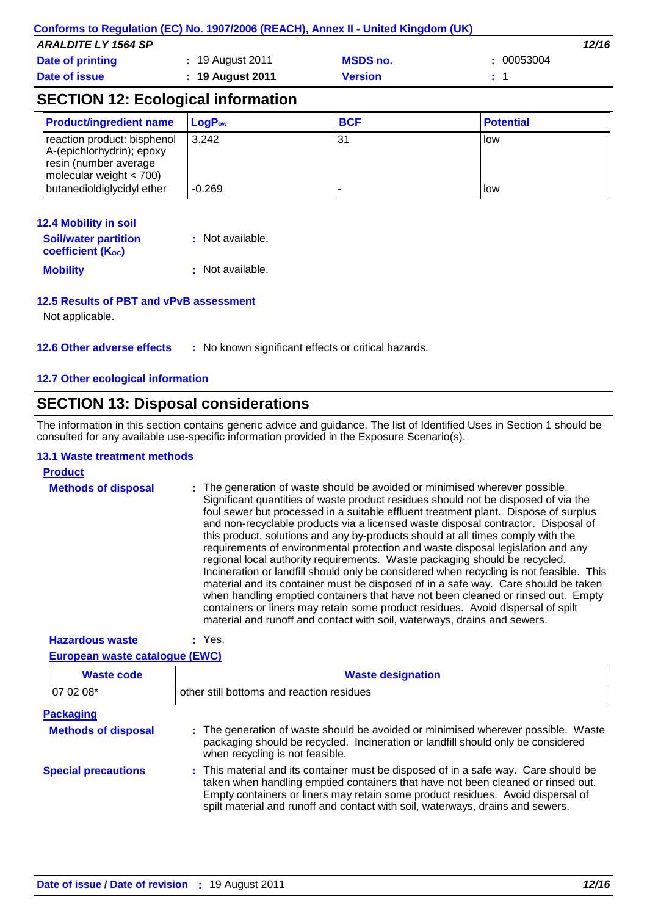|                                                                                                                                              | Conforms to Regulation (EC) No. 1907/2006 (REACH), Annex II - United Kingdom (UK) |                 |                  |  |
|----------------------------------------------------------------------------------------------------------------------------------------------|-----------------------------------------------------------------------------------|-----------------|------------------|--|
| <b>ARALDITE LY 1564 SP</b>                                                                                                                   |                                                                                   |                 | 12/16            |  |
| Date of printing                                                                                                                             | : 19 August 2011                                                                  | <b>MSDS no.</b> | : 00053004       |  |
| Date of issue<br>: 19 August 2011<br><b>Version</b>                                                                                          |                                                                                   |                 | : 1              |  |
|                                                                                                                                              | <b>SECTION 12: Ecological information</b>                                         |                 |                  |  |
| <b>Product/ingredient name</b>                                                                                                               | $LogP_{ow}$                                                                       | <b>BCF</b>      | <b>Potential</b> |  |
| reaction product: bisphenol<br>A-(epichlorhydrin); epoxy<br>resin (number average<br>molecular weight $<$ 700)<br>butanedioldiglycidyl ether | 3.242<br>$-0.269$                                                                 | 31              | low<br>low       |  |
|                                                                                                                                              |                                                                                   |                 |                  |  |

#### **12.4 Mobility in soil**

| <b>Soil/water partition</b> | : Not available. |
|-----------------------------|------------------|
| <b>coefficient (Koc)</b>    |                  |
| <b>Mobility</b>             | : Not available. |

#### **12.5 Results of PBT and vPvB assessment**

Not applicable.

#### **12.7 Other ecological information**

## **SECTION 13: Disposal considerations**

The information in this section contains generic advice and guidance. The list of Identified Uses in Section 1 should be consulted for any available use-specific information provided in the Exposure Scenario(s).

#### **13.1 Waste treatment methods**

| <b>Product</b>             |                                                                                                                                                                                                                                                                                                                                                                                                                                                                                                                                                                                                                                                                                                                                                                                                                                                                                                                                                                                                                                       |
|----------------------------|---------------------------------------------------------------------------------------------------------------------------------------------------------------------------------------------------------------------------------------------------------------------------------------------------------------------------------------------------------------------------------------------------------------------------------------------------------------------------------------------------------------------------------------------------------------------------------------------------------------------------------------------------------------------------------------------------------------------------------------------------------------------------------------------------------------------------------------------------------------------------------------------------------------------------------------------------------------------------------------------------------------------------------------|
| <b>Methods of disposal</b> | : The generation of waste should be avoided or minimised wherever possible.<br>Significant quantities of waste product residues should not be disposed of via the<br>foul sewer but processed in a suitable effluent treatment plant. Dispose of surplus<br>and non-recyclable products via a licensed waste disposal contractor. Disposal of<br>this product, solutions and any by-products should at all times comply with the<br>requirements of environmental protection and waste disposal legislation and any<br>regional local authority requirements. Waste packaging should be recycled.<br>Incineration or landfill should only be considered when recycling is not feasible. This<br>material and its container must be disposed of in a safe way. Care should be taken<br>when handling emptied containers that have not been cleaned or rinsed out. Empty<br>containers or liners may retain some product residues. Avoid dispersal of spilt<br>material and runoff and contact with soil, waterways, drains and sewers. |

**Hazardous waste :** Yes.

**European waste catalogue (EWC)**

| <b>Waste code</b>          | <b>Waste designation</b>                                                                                                                                                                                                                                                                                                                     |
|----------------------------|----------------------------------------------------------------------------------------------------------------------------------------------------------------------------------------------------------------------------------------------------------------------------------------------------------------------------------------------|
| 07 02 08*                  | other still bottoms and reaction residues                                                                                                                                                                                                                                                                                                    |
| <b>Packaging</b>           |                                                                                                                                                                                                                                                                                                                                              |
| <b>Methods of disposal</b> | : The generation of waste should be avoided or minimised wherever possible. Waste<br>packaging should be recycled. Incineration or landfill should only be considered<br>when recycling is not feasible.                                                                                                                                     |
| <b>Special precautions</b> | : This material and its container must be disposed of in a safe way. Care should be<br>taken when handling emptied containers that have not been cleaned or rinsed out.<br>Empty containers or liners may retain some product residues. Avoid dispersal of<br>spilt material and runoff and contact with soil, waterways, drains and sewers. |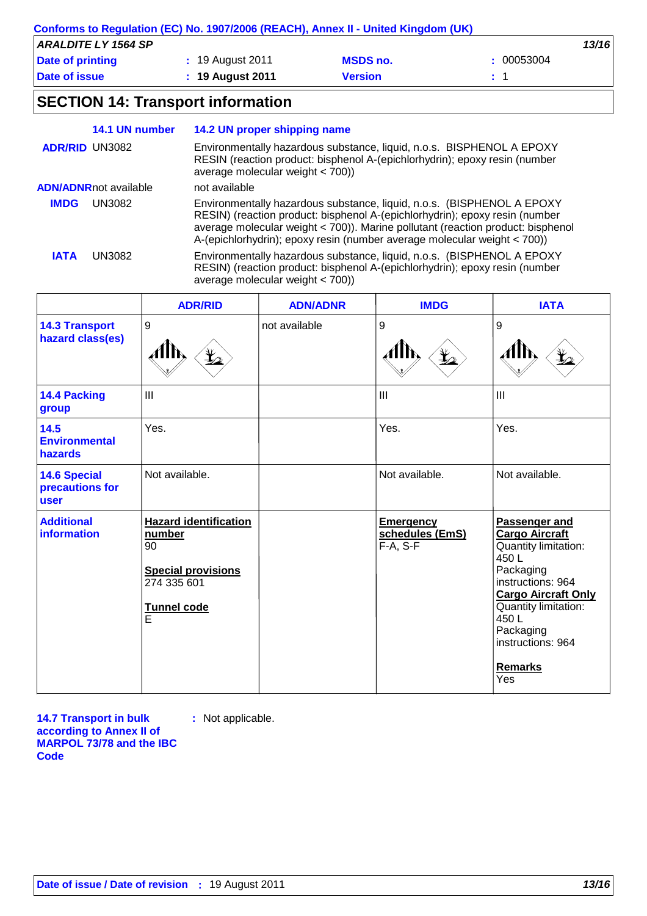| Conforms to Regulation (EC) No. 1907/2006 (REACH), Annex II - United Kingdom (UK) |                    |                 |            |  |
|-----------------------------------------------------------------------------------|--------------------|-----------------|------------|--|
| <b>ARALDITE LY 1564 SP</b>                                                        |                    |                 | 13/16      |  |
| Date of printing                                                                  | : 19 August 2011   | <b>MSDS no.</b> | : 00053004 |  |
| <b>Date of issue</b>                                                              | $: 19$ August 2011 | <b>Version</b>  |            |  |

## **SECTION 14: Transport information**

|                       | 14.1 UN number               | 14.2 UN proper shipping name                                                                                                                                                                                                                                                                                         |
|-----------------------|------------------------------|----------------------------------------------------------------------------------------------------------------------------------------------------------------------------------------------------------------------------------------------------------------------------------------------------------------------|
| <b>ADR/RID UN3082</b> |                              | Environmentally hazardous substance, liquid, n.o.s. BISPHENOL A EPOXY<br>RESIN (reaction product: bisphenol A-(epichlorhydrin); epoxy resin (number<br>average molecular weight $<$ 700))                                                                                                                            |
|                       | <b>ADN/ADNRnot available</b> | not available                                                                                                                                                                                                                                                                                                        |
| <b>IMDG</b>           | UN3082                       | Environmentally hazardous substance, liquid, n.o.s. (BISPHENOL A EPOXY<br>RESIN) (reaction product: bisphenol A-(epichlorhydrin); epoxy resin (number<br>average molecular weight < 700)). Marine pollutant (reaction product: bisphenol<br>A-(epichlorhydrin); epoxy resin (number average molecular weight < 700)) |
| <b>IATA</b>           | UN3082                       | Environmentally hazardous substance, liquid, n.o.s. (BISPHENOL A EPOXY<br>RESIN) (reaction product: bisphenol A-(epichlorhydrin); epoxy resin (number<br>average molecular weight $<$ 700))                                                                                                                          |

|                                                | <b>ADR/RID</b>                                                                                               | <b>ADN/ADNR</b> | <b>IMDG</b>                                       | <b>IATA</b>                                                                                                                                                                                                                       |
|------------------------------------------------|--------------------------------------------------------------------------------------------------------------|-----------------|---------------------------------------------------|-----------------------------------------------------------------------------------------------------------------------------------------------------------------------------------------------------------------------------------|
| <b>14.3 Transport</b><br>hazard class(es)      | $9\,$                                                                                                        | not available   | 9                                                 | 9                                                                                                                                                                                                                                 |
| 14.4 Packing<br>group                          | III                                                                                                          |                 | III                                               | III                                                                                                                                                                                                                               |
| 14.5<br><b>Environmental</b><br>hazards        | Yes.                                                                                                         |                 | Yes.                                              | Yes.                                                                                                                                                                                                                              |
| <b>14.6 Special</b><br>precautions for<br>user | Not available.                                                                                               |                 | Not available.                                    | Not available.                                                                                                                                                                                                                    |
| <b>Additional</b><br><b>information</b>        | <b>Hazard identification</b><br>number<br>90<br><b>Special provisions</b><br>274 335 601<br>Tunnel code<br>E |                 | <b>Emergency</b><br>schedules (EmS)<br>$F-A, S-F$ | Passenger and<br><b>Cargo Aircraft</b><br>Quantity limitation:<br>450L<br>Packaging<br>instructions: 964<br><b>Cargo Aircraft Only</b><br>Quantity limitation:<br>450L<br>Packaging<br>instructions: 964<br><b>Remarks</b><br>Yes |

**14.7 Transport in bulk according to Annex II of MARPOL 73/78 and the IBC Code :** Not applicable.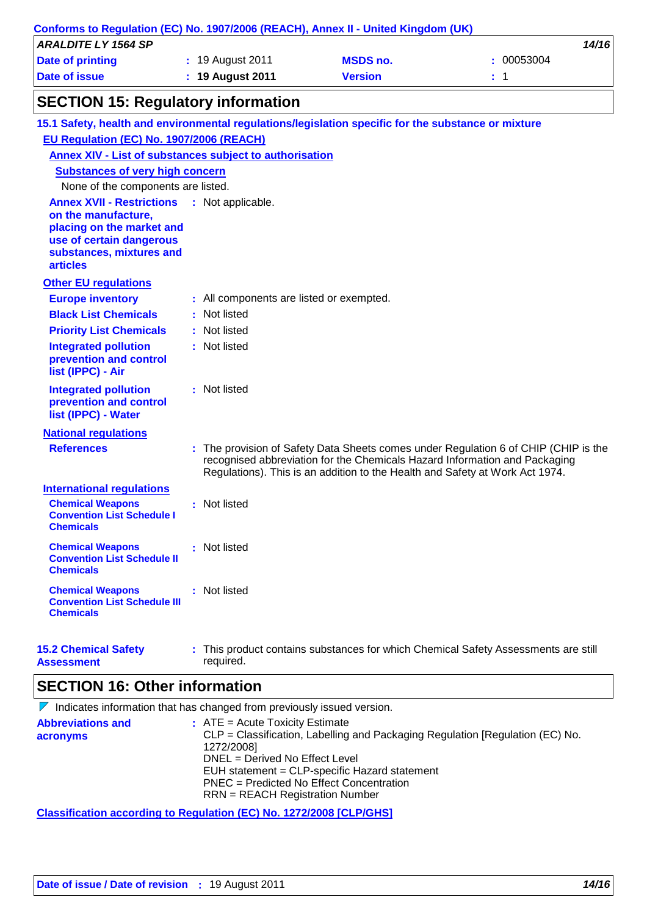| Conforms to Regulation (EC) No. 1907/2006 (REACH), Annex II - United Kingdom (UK)<br><b>ARALDITE LY 1564 SP</b> |                                          |                                                                              | 14/16                                                                               |
|-----------------------------------------------------------------------------------------------------------------|------------------------------------------|------------------------------------------------------------------------------|-------------------------------------------------------------------------------------|
| <b>Date of printing</b>                                                                                         | : 19 August 2011                         | <b>MSDS no.</b>                                                              | : 00053004                                                                          |
| <b>Date of issue</b>                                                                                            | <b>19 August 2011</b>                    | <b>Version</b>                                                               | : 1                                                                                 |
| <b>SECTION 15: Regulatory information</b>                                                                       |                                          |                                                                              |                                                                                     |
| 15.1 Safety, health and environmental regulations/legislation specific for the substance or mixture             |                                          |                                                                              |                                                                                     |
| EU Regulation (EC) No. 1907/2006 (REACH)                                                                        |                                          |                                                                              |                                                                                     |
| Annex XIV - List of substances subject to authorisation                                                         |                                          |                                                                              |                                                                                     |
| <b>Substances of very high concern</b>                                                                          |                                          |                                                                              |                                                                                     |
| None of the components are listed.                                                                              |                                          |                                                                              |                                                                                     |
| <b>Annex XVII - Restrictions</b>                                                                                | : Not applicable.                        |                                                                              |                                                                                     |
| on the manufacture,<br>placing on the market and                                                                |                                          |                                                                              |                                                                                     |
| use of certain dangerous                                                                                        |                                          |                                                                              |                                                                                     |
| substances, mixtures and                                                                                        |                                          |                                                                              |                                                                                     |
| <b>articles</b>                                                                                                 |                                          |                                                                              |                                                                                     |
| <b>Other EU regulations</b>                                                                                     |                                          |                                                                              |                                                                                     |
| <b>Europe inventory</b>                                                                                         | : All components are listed or exempted. |                                                                              |                                                                                     |
| <b>Black List Chemicals</b>                                                                                     | : Not listed                             |                                                                              |                                                                                     |
| <b>Priority List Chemicals</b>                                                                                  | : Not listed                             |                                                                              |                                                                                     |
| <b>Integrated pollution</b>                                                                                     | : Not listed                             |                                                                              |                                                                                     |
| prevention and control                                                                                          |                                          |                                                                              |                                                                                     |
| list (IPPC) - Air                                                                                               |                                          |                                                                              |                                                                                     |
| <b>Integrated pollution</b><br>prevention and control                                                           | : Not listed                             |                                                                              |                                                                                     |
| list (IPPC) - Water                                                                                             |                                          |                                                                              |                                                                                     |
| <b>National regulations</b>                                                                                     |                                          |                                                                              |                                                                                     |
| <b>References</b>                                                                                               |                                          |                                                                              | : The provision of Safety Data Sheets comes under Regulation 6 of CHIP (CHIP is the |
|                                                                                                                 |                                          |                                                                              | recognised abbreviation for the Chemicals Hazard Information and Packaging          |
|                                                                                                                 |                                          | Regulations). This is an addition to the Health and Safety at Work Act 1974. |                                                                                     |
| <b>International regulations</b>                                                                                |                                          |                                                                              |                                                                                     |
| <b>Chemical Weapons</b><br><b>Convention List Schedule I</b>                                                    | : Not listed                             |                                                                              |                                                                                     |
| <b>Chemicals</b>                                                                                                |                                          |                                                                              |                                                                                     |
| <b>Chemical Weapons</b>                                                                                         | : Not listed                             |                                                                              |                                                                                     |
| <b>Convention List Schedule II</b>                                                                              |                                          |                                                                              |                                                                                     |
| <b>Chemicals</b>                                                                                                |                                          |                                                                              |                                                                                     |
| <b>Chemical Weapons</b>                                                                                         | : Not listed                             |                                                                              |                                                                                     |
| <b>Convention List Schedule III</b>                                                                             |                                          |                                                                              |                                                                                     |
| <b>Chemicals</b>                                                                                                |                                          |                                                                              |                                                                                     |
|                                                                                                                 |                                          |                                                                              |                                                                                     |
| <b>15.2 Chemical Safety</b>                                                                                     |                                          |                                                                              | : This product contains substances for which Chemical Safety Assessments are still  |

**Assessment**

This product contains substances for which Chemical Safety Assessments are still required.

## **SECTION 16: Other information**

 $\nabla$  Indicates information that has changed from previously issued version.

| <b>Abbreviations and</b><br>acronyms | $:$ ATE = Acute Toxicity Estimate<br>CLP = Classification, Labelling and Packaging Regulation [Regulation (EC) No. |
|--------------------------------------|--------------------------------------------------------------------------------------------------------------------|
|                                      | 1272/2008]                                                                                                         |
|                                      | DNEL = Derived No Effect Level                                                                                     |
|                                      | EUH statement = CLP-specific Hazard statement                                                                      |
|                                      | PNEC = Predicted No Effect Concentration                                                                           |
|                                      | $RRN = REACH$ Registration Number                                                                                  |

**Classification according to Regulation (EC) No. 1272/2008 [CLP/GHS]**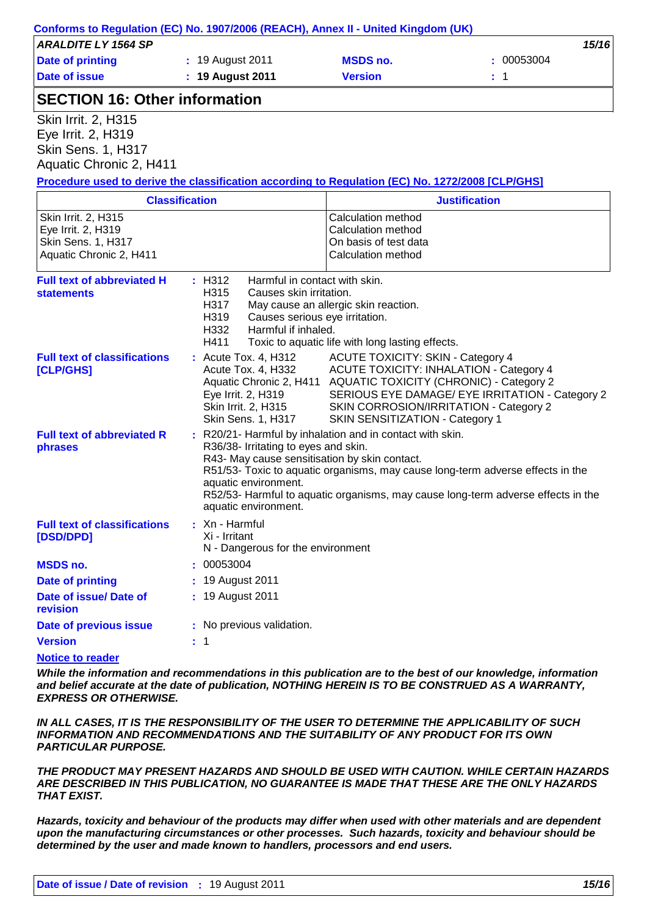| <b>ARALDITE LY 1564 SP</b>                                                                       |                                           |                                                                           | 15/16                                                                            |
|--------------------------------------------------------------------------------------------------|-------------------------------------------|---------------------------------------------------------------------------|----------------------------------------------------------------------------------|
| <b>Date of printing</b>                                                                          | : 19 August 2011                          | <b>MSDS no.</b>                                                           | 00053004                                                                         |
| <b>Date of issue</b>                                                                             | : 19 August 2011                          | <b>Version</b>                                                            | $\div$ 1                                                                         |
| <b>SECTION 16: Other information</b>                                                             |                                           |                                                                           |                                                                                  |
| <b>Skin Irrit. 2, H315</b>                                                                       |                                           |                                                                           |                                                                                  |
| Eye Irrit. 2, H319                                                                               |                                           |                                                                           |                                                                                  |
| Skin Sens. 1, H317                                                                               |                                           |                                                                           |                                                                                  |
| Aquatic Chronic 2, H411                                                                          |                                           |                                                                           |                                                                                  |
| Procedure used to derive the classification according to Regulation (EC) No. 1272/2008 [CLP/GHS] |                                           |                                                                           |                                                                                  |
|                                                                                                  | <b>Classification</b>                     |                                                                           | <b>Justification</b>                                                             |
| Skin Irrit. 2, H315                                                                              |                                           | <b>Calculation method</b>                                                 |                                                                                  |
| Eye Irrit. 2, H319<br>Skin Sens. 1, H317                                                         |                                           | Calculation method<br>On basis of test data                               |                                                                                  |
| Aquatic Chronic 2, H411                                                                          |                                           | Calculation method                                                        |                                                                                  |
|                                                                                                  |                                           |                                                                           |                                                                                  |
| <b>Full text of abbreviated H</b>                                                                | : H312                                    | Harmful in contact with skin.                                             |                                                                                  |
| <b>statements</b>                                                                                | H315<br>Causes skin irritation.           |                                                                           |                                                                                  |
|                                                                                                  | H317<br>H319                              | May cause an allergic skin reaction.<br>Causes serious eye irritation.    |                                                                                  |
|                                                                                                  | H332<br>Harmful if inhaled.               |                                                                           |                                                                                  |
|                                                                                                  | H411                                      | Toxic to aquatic life with long lasting effects.                          |                                                                                  |
| <b>Full text of classifications</b>                                                              | : Acute Tox. 4, H312                      | <b>ACUTE TOXICITY: SKIN - Category 4</b>                                  |                                                                                  |
| [CLP/GHS]                                                                                        | Acute Tox. 4, H332                        | <b>ACUTE TOXICITY: INHALATION - Category 4</b>                            |                                                                                  |
|                                                                                                  |                                           | Aquatic Chronic 2, H411 AQUATIC TOXICITY (CHRONIC) - Category 2           |                                                                                  |
|                                                                                                  | Eye Irrit. 2, H319                        |                                                                           | SERIOUS EYE DAMAGE/ EYE IRRITATION - Category 2                                  |
|                                                                                                  | Skin Irrit. 2, H315<br>Skin Sens. 1, H317 | SKIN CORROSION/IRRITATION - Category 2<br>SKIN SENSITIZATION - Category 1 |                                                                                  |
| <b>Full text of abbreviated R</b>                                                                |                                           | : R20/21- Harmful by inhalation and in contact with skin.                 |                                                                                  |
| phrases                                                                                          | R36/38- Irritating to eyes and skin.      |                                                                           |                                                                                  |
|                                                                                                  |                                           | R43- May cause sensitisation by skin contact.                             |                                                                                  |
|                                                                                                  |                                           |                                                                           | R51/53- Toxic to aquatic organisms, may cause long-term adverse effects in the   |
|                                                                                                  | aquatic environment.                      |                                                                           |                                                                                  |
|                                                                                                  | aquatic environment.                      |                                                                           | R52/53- Harmful to aquatic organisms, may cause long-term adverse effects in the |
| <b>Full text of classifications</b>                                                              | : Xn - Harmful                            |                                                                           |                                                                                  |
| [DSD/DPD]                                                                                        | Xi - Irritant                             |                                                                           |                                                                                  |
|                                                                                                  | N - Dangerous for the environment         |                                                                           |                                                                                  |
| <b>MSDS no.</b>                                                                                  | : 00053004                                |                                                                           |                                                                                  |
| <b>Date of printing</b>                                                                          | 19 August 2011                            |                                                                           |                                                                                  |
| Date of issue/Date of<br>revision                                                                | : 19 August 2011                          |                                                                           |                                                                                  |
| Date of previous issue                                                                           | : No previous validation.                 |                                                                           |                                                                                  |
| <b>Version</b>                                                                                   | : 1                                       |                                                                           |                                                                                  |
|                                                                                                  |                                           |                                                                           |                                                                                  |

#### **Notice to reader**

*While the information and recommendations in this publication are to the best of our knowledge, information and belief accurate at the date of publication, NOTHING HEREIN IS TO BE CONSTRUED AS A WARRANTY, EXPRESS OR OTHERWISE.*

*IN ALL CASES, IT IS THE RESPONSIBILITY OF THE USER TO DETERMINE THE APPLICABILITY OF SUCH INFORMATION AND RECOMMENDATIONS AND THE SUITABILITY OF ANY PRODUCT FOR ITS OWN PARTICULAR PURPOSE.*

*THE PRODUCT MAY PRESENT HAZARDS AND SHOULD BE USED WITH CAUTION. WHILE CERTAIN HAZARDS ARE DESCRIBED IN THIS PUBLICATION, NO GUARANTEE IS MADE THAT THESE ARE THE ONLY HAZARDS THAT EXIST.*

*Hazards, toxicity and behaviour of the products may differ when used with other materials and are dependent upon the manufacturing circumstances or other processes. Such hazards, toxicity and behaviour should be determined by the user and made known to handlers, processors and end users.*